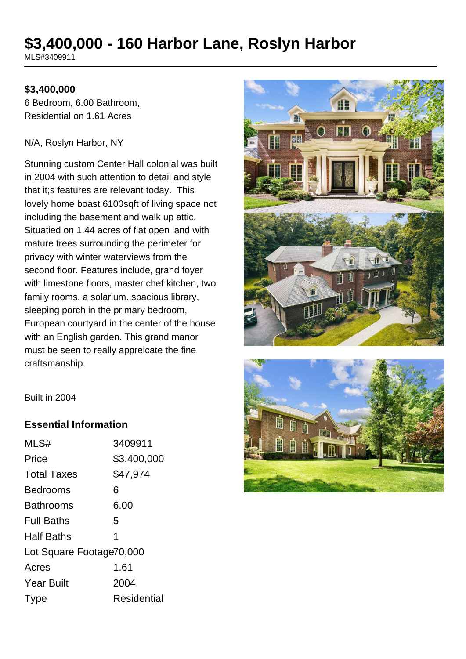# **\$3,400,000 - 160 Harbor Lane, Roslyn Harbor**

MLS#3409911

#### **\$3,400,000**

6 Bedroom, 6.00 Bathroom, Residential on 1.61 Acres

#### N/A, Roslyn Harbor, NY

Stunning custom Center Hall colonial was built in 2004 with such attention to detail and style that it;s features are relevant today. This lovely home boast 6100sqft of living space not including the basement and walk up attic. Situatied on 1.44 acres of flat open land with mature trees surrounding the perimeter for privacy with winter waterviews from the second floor. Features include, grand foyer with limestone floors, master chef kitchen, two family rooms, a solarium. spacious library, sleeping porch in the primary bedroom, European courtyard in the center of the house with an English garden. This grand manor must be seen to really appreicate the fine craftsmanship.





Built in 2004

#### **Essential Information**

| MLS#                     | 3409911     |  |
|--------------------------|-------------|--|
| Price                    | \$3,400,000 |  |
| <b>Total Taxes</b>       | \$47,974    |  |
| <b>Bedrooms</b>          | 6           |  |
| <b>Bathrooms</b>         | 6.00        |  |
| <b>Full Baths</b>        | 5           |  |
| <b>Half Baths</b>        | 1           |  |
| Lot Square Footage70,000 |             |  |
| Acres                    | 1.61        |  |
| <b>Year Built</b>        | 2004        |  |
| Type                     | Residential |  |
|                          |             |  |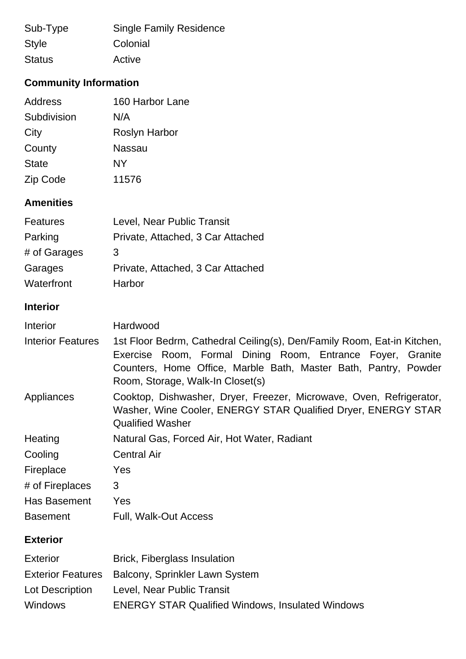| Sub-Type      | <b>Single Family Residence</b> |
|---------------|--------------------------------|
| <b>Style</b>  | Colonial                       |
| <b>Status</b> | Active                         |

## **Community Information**

| Address      | 160 Harbor Lane      |
|--------------|----------------------|
| Subdivision  | N/A                  |
| City         | <b>Roslyn Harbor</b> |
| County       | Nassau               |
| <b>State</b> | NΥ                   |
| Zip Code     | 11576                |

## **Amenities**

| <b>Features</b> | Level, Near Public Transit        |
|-----------------|-----------------------------------|
| Parking         | Private, Attached, 3 Car Attached |
| # of Garages    | 3                                 |
| Garages         | Private, Attached, 3 Car Attached |
| Waterfront      | Harbor                            |

## **Interior**

| <b>Interior</b>                                                | Hardwood                                                                                                                                                                                                                                     |
|----------------------------------------------------------------|----------------------------------------------------------------------------------------------------------------------------------------------------------------------------------------------------------------------------------------------|
| <b>Interior Features</b>                                       | 1st Floor Bedrm, Cathedral Ceiling(s), Den/Family Room, Eat-in Kitchen,<br>Exercise Room, Formal Dining Room, Entrance Foyer, Granite<br>Counters, Home Office, Marble Bath, Master Bath, Pantry, Powder<br>Room, Storage, Walk-In Closet(s) |
| Appliances                                                     | Cooktop, Dishwasher, Dryer, Freezer, Microwave, Oven, Refrigerator,<br>Washer, Wine Cooler, ENERGY STAR Qualified Dryer, ENERGY STAR<br><b>Qualified Washer</b>                                                                              |
| Heating                                                        | Natural Gas, Forced Air, Hot Water, Radiant                                                                                                                                                                                                  |
| Cooling                                                        | <b>Central Air</b>                                                                                                                                                                                                                           |
| Fireplace                                                      | Yes                                                                                                                                                                                                                                          |
| # of Fireplaces                                                | 3                                                                                                                                                                                                                                            |
| Has Basement                                                   | Yes                                                                                                                                                                                                                                          |
| <b>Basement</b>                                                | Full, Walk-Out Access                                                                                                                                                                                                                        |
| <b>Exterior</b>                                                |                                                                                                                                                                                                                                              |
| <b>Exterior</b><br><b>Exterior Features</b><br>Lot Description | <b>Brick, Fiberglass Insulation</b><br>Balcony, Sprinkler Lawn System<br>Level, Near Public Transit                                                                                                                                          |

Windows ENERGY STAR Qualified Windows, Insulated Windows